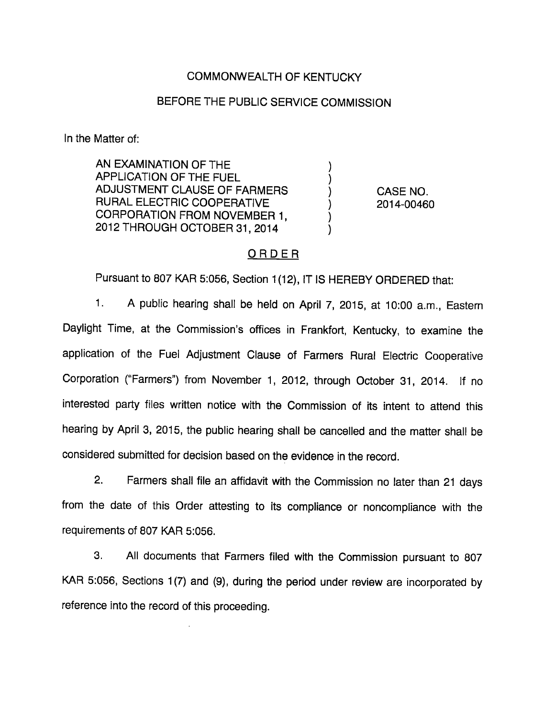## COMMONWEALTH OF KENTUCKY

### BEFORE THE PUBLIC SERVICE COMMISSION

In the Matter of:

AN EXAMINATION OF THE APPLICATION OF THE FUEL ADJUSTMENT CLAUSE OF FARMERS RURAL ELECTRIC COOPERATIVE CORPORATION FROM NOVEMBER 1, 2012 THROUGH OCTOBER 31, 2014

CASE NO. 2014-00460

### ORDER

Pursuant to 807 KAR 5:056, Section 1(12), IT IS HEREBY ORDERED that:

1. A public hearing shall be held on April 7, 2015, at 10:00 a.m., Eastem Daylight Time, at the Commission's offices in Frankfort, Kentucky, to examine the application of the Fuel Adjustment Clause of Farmers Rural Electric Cooperative Corporation ("Farmers") from November 1, 2012, through October 31, 2014. If no interested party files written notice with the Commission of its intent to attend this hearing by April 3, 2015, the public hearing shall be cancelled and the matter shall be considered submitted for decision based on the evidence in the record.

2. Farmers shall file an affidavit with the Commission no later than 21 days from the date of this Order attesting to its compliance or noncompliance with the requirements of 807 KAR 5:056.

3. All documents that Farmers filed with the Commission pursuant to 807 KAR 5:056, Sections 1(7) and (9), during the period under review are incorporated by reference into the record of this proceeding.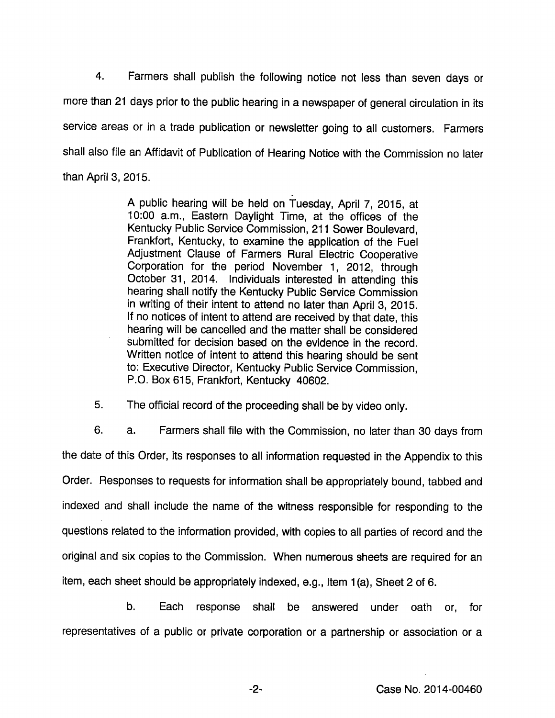4. Farmers shall publish the following notice not less than seven days or more than 21 days prior to the public hearing in a newspaper of general circulation in its service areas or in a trade publication or newsletter going to ail customers. Farmers shall also file an Affidavit of Publication of Hearing Notice with the Commission no later than April 3, 2015.

> A public hearing will be held on Tuesday, April 7, 2015, at 10:00 a.m.. Eastern Daylight Time, at the offices of the Kentucky Public Service Commission, 211 Sower Boulevard, Frankfort, Kentucky, to examine the application of the Fuel Adjustment Clause of Farmers Rural Electric Cooperative Corporation for the period November 1, 2012, through October 31, 2014. individuals interested in attending this hearing shall notify the Kentucky Public Service Commission in writing of their intent to attend no later than April 3, 2015. If no notices of intent to attend are received by that date, this hearing will be cancelled and the matter shall be considered submitted for decision based on the evidence in the record. Written notice of intent to attend this hearing should be sent to: Executive Director, Kentucky Public Service Commission, P.O. Box 615, Frankfort, Kentucky 40802.

5. The official record of the proceeding shall be by video only.

6. a. Farmers shall file with the Commission, no later than 30 days from the date of this Order, its responses to ail information requested in the Appendix to this Order. Responses to requests for information shall be appropriately bound, tabbed and indexed and shall include the name of the witness responsible for responding to the questions related to the information provided, with copies to all parties of record and the original and six copies to the Commission. When numerous sheets are required for an item, each sheet should be appropriately indexed, e.g., item 1(a). Sheet 2 of 6.

b. Each response shall be answered under oath or, for representatives of a public or private corporation or a partnership or association or a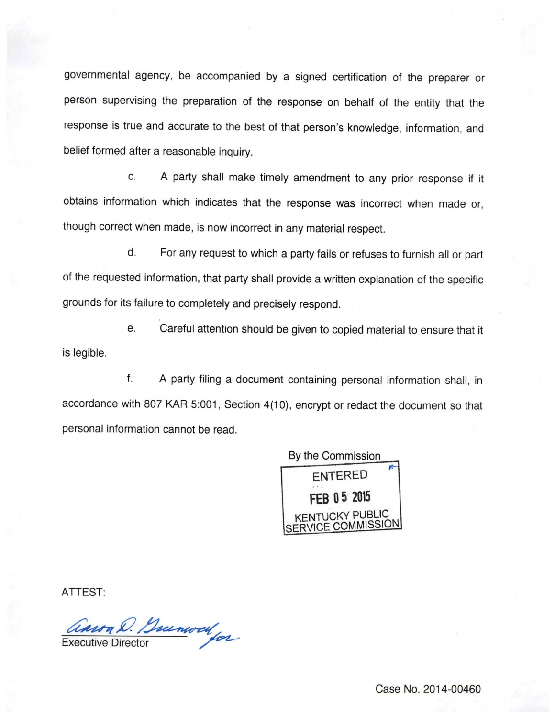governmental agency, be accompanied by a signed certification of the preparer or person supervising the preparation of the response on behalf of the entity that the response is true and accurate to the best of that person's knowledge, information, and belief formed after a reasonable inquiry.

c. A party shall make timely amendment to any prior response if it obtains information which indicates that the response was incorrect when made or, though correct when made, is now incorrect in anymaterial respect.

d. For any request to which a party fails or refuses to furnish all or part of the requested information, that party shall provide a written explanation of the specific grounds for its failure to completely and precisely respond.

e. Careful attention should be given to copied material to ensure that it is legible.

f. A party filing a document containing personal information shall, in accordance with 807 KAR 5:001, Section 4(10), encrypt or redact the document so that personal information cannot be read.



ATTEST:

asson D. Bunwell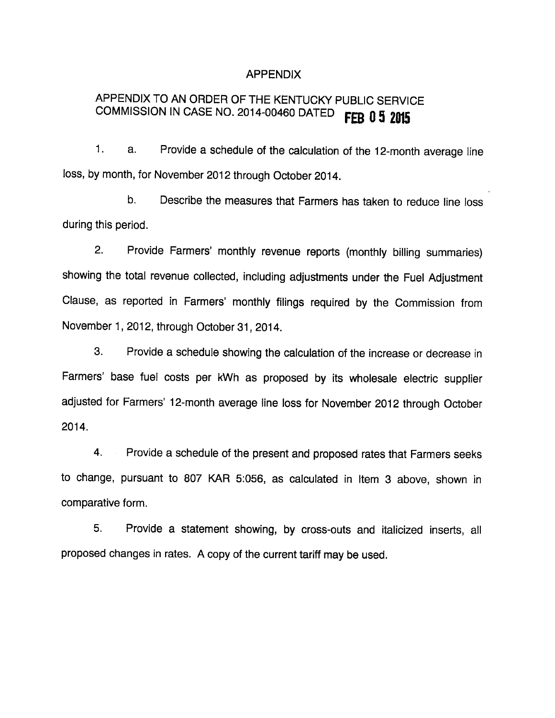#### APPENDIX

# APPENDIX TO AN ORDER OF THE KENTUCKY PUBLIC SERVICE COMMISSION IN CASE NO. 2014-00460 DATED FEB 0 5 2015

1. a. Provide a schedule of the calculation of the 12-month average line loss, by month, for November 2012 through October 2014.

b. Describe the measures that Farmers has taken to reduce line loss during this period.

2. Provide Farmers' monthly revenue reports (monthly billing summaries) showing the total revenue collected, including adjustments under the Fuel Adjustment Clause, as reported in Farmers' monthly filings required by the Commission from November 1, 2012, through October 31, 2014.

3. Provide a schedule showing the calculation of the increase or decrease in Farmers' base fuel costs per kWh as proposed by its wholesale electric supplier adjusted for Farmers' 12-month average line loss for November 2012 through October 2014.

4. Provide a schedule of the present and proposed rates that Farmers seeks to change, pursuant to 807 KAR 5:056, as calculated in Item 3 above, shown in comparative form.

5. Provide a statement showing, by cross-outs and italicized inserts, all proposed changes in rates. A copy of the current tariff may be used.